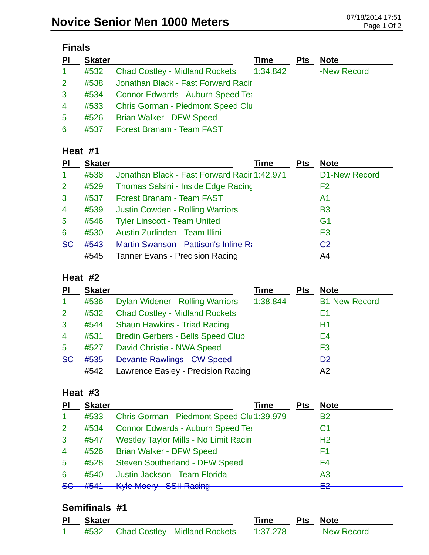| <b>inals</b> |  |
|--------------|--|
|--------------|--|

| PI             | <b>Skater</b> |                                          | Time     | <b>Pts</b> | <b>Note</b> |
|----------------|---------------|------------------------------------------|----------|------------|-------------|
| $\mathbf{1}$   | #532          | <b>Chad Costley - Midland Rockets</b>    | 1:34.842 |            | -New Record |
| 2 <sup>1</sup> | #538          | Jonathan Black - Fast Forward Racir      |          |            |             |
| 3              | #534          | <b>Connor Edwards - Auburn Speed Tea</b> |          |            |             |
| $\overline{4}$ | #533          | <b>Chris Gorman - Piedmont Speed Clu</b> |          |            |             |
| 5 <sup>5</sup> |               | #526 Brian Walker - DFW Speed            |          |            |             |
| 6              |               | #537 Forest Branam - Team FAST           |          |            |             |

#### **Heat #1**

| PI             | <b>Skater</b> | Time                                         | <b>Pts</b> | <b>Note</b>                   |
|----------------|---------------|----------------------------------------------|------------|-------------------------------|
| -1             | #538          | Jonathan Black - Fast Forward Racir 1:42.971 |            | <b>D1-New Record</b>          |
| $\overline{2}$ | #529          | Thomas Salsini - Inside Edge Racing          |            | F2                            |
| 3              | #537          | <b>Forest Branam - Team FAST</b>             |            | A1                            |
| $\overline{4}$ | #539          | <b>Justin Cowden - Rolling Warriors</b>      |            | <b>B3</b>                     |
| 5              | #546          | <b>Tyler Linscott - Team United</b>          |            | G <sub>1</sub>                |
| 6              | #530          | Austin Zurlinden - Team Illini               |            | E <sub>3</sub>                |
| 86             | #543          | Martin Quancan Dattican's Inline D.          |            | ററ<br>$\overline{\mathbf{v}}$ |
|                | #545          | <b>Tanner Evans - Precision Racing</b>       |            | A4                            |

#### **Heat #2**

| P             | <b>Skater</b> |                                          | <b>Time</b> | <b>Pts</b> | <b>Note</b>          |
|---------------|---------------|------------------------------------------|-------------|------------|----------------------|
|               | #536          | <b>Dylan Widener - Rolling Warriors</b>  | 1:38.844    |            | <b>B1-New Record</b> |
| 2             | #532          | <b>Chad Costley - Midland Rockets</b>    |             |            | Ε1                   |
| 3             | #544          | <b>Shaun Hawkins - Triad Racing</b>      |             |            | H1                   |
| 4             | #531          | <b>Bredin Gerbers - Bells Speed Club</b> |             |            | E4                   |
| 5             | #527          | David Christie - NWA Speed               |             |            | F <sub>3</sub>       |
| <del>SG</del> | #535          | <b>Devante Rawlings CW Speed</b>         |             |            | ഛ<br><b>DG</b>       |
|               | #542          | Lawrence Easley - Precision Racing       |             |            | A2                   |

#### **Heat #3**

| PI                    | <b>Skater</b> | Time                                          | <b>Pts</b> | <b>Note</b>    |
|-----------------------|---------------|-----------------------------------------------|------------|----------------|
| $\blacktriangleleft$  | #533          | Chris Gorman - Piedmont Speed Clu 1:39.979    |            | <b>B2</b>      |
| $\mathbf{2}^{\prime}$ | #534          | <b>Connor Edwards - Auburn Speed Tea</b>      |            | C <sub>1</sub> |
| $\mathbf{3}$          | #547          | <b>Westley Taylor Mills - No Limit Racing</b> |            | H <sub>2</sub> |
| $\overline{4}$        | #526          | <b>Brian Walker - DFW Speed</b>               |            | F1             |
| $\overline{5}$        | #528          | <b>Steven Southerland - DFW Speed</b>         |            | F4             |
| 6                     | #540          | Justin Jackson - Team Florida                 |            | A <sub>3</sub> |
| <b>SG</b>             |               | #541 Kyle Moery SSII Racing                   |            | ⊏ว             |

# **Semifinals #1**

| PI Skater |                                     | <b>Time</b> | <b>Pts Note</b> |
|-----------|-------------------------------------|-------------|-----------------|
|           | #532 Chad Costley - Midland Rockets | 1:37.278    | -New Record     |